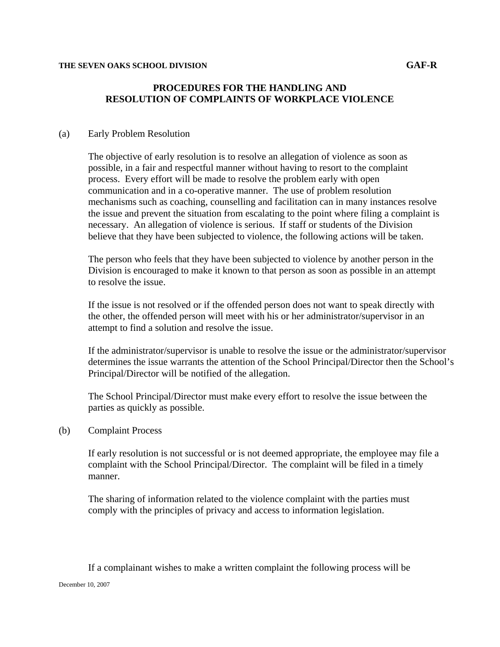# **PROCEDURES FOR THE HANDLING AND RESOLUTION OF COMPLAINTS OF WORKPLACE VIOLENCE**

### (a) Early Problem Resolution

The objective of early resolution is to resolve an allegation of violence as soon as possible, in a fair and respectful manner without having to resort to the complaint process. Every effort will be made to resolve the problem early with open communication and in a co-operative manner. The use of problem resolution mechanisms such as coaching, counselling and facilitation can in many instances resolve the issue and prevent the situation from escalating to the point where filing a complaint is necessary. An allegation of violence is serious. If staff or students of the Division believe that they have been subjected to violence, the following actions will be taken.

The person who feels that they have been subjected to violence by another person in the Division is encouraged to make it known to that person as soon as possible in an attempt to resolve the issue.

If the issue is not resolved or if the offended person does not want to speak directly with the other, the offended person will meet with his or her administrator/supervisor in an attempt to find a solution and resolve the issue.

If the administrator/supervisor is unable to resolve the issue or the administrator/supervisor determines the issue warrants the attention of the School Principal/Director then the School's Principal/Director will be notified of the allegation.

The School Principal/Director must make every effort to resolve the issue between the parties as quickly as possible.

### (b) Complaint Process

If early resolution is not successful or is not deemed appropriate, the employee may file a complaint with the School Principal/Director. The complaint will be filed in a timely manner.

The sharing of information related to the violence complaint with the parties must comply with the principles of privacy and access to information legislation.

December 10, 2007 If a complainant wishes to make a written complaint the following process will be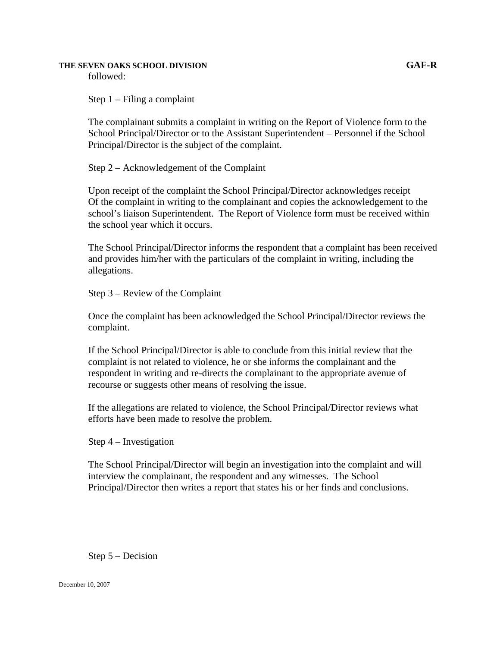### **THE SEVEN OAKS SCHOOL DIVISION GAF-R**

followed:

Step 1 – Filing a complaint

The complainant submits a complaint in writing on the Report of Violence form to the School Principal/Director or to the Assistant Superintendent – Personnel if the School Principal/Director is the subject of the complaint.

Step 2 – Acknowledgement of the Complaint

Upon receipt of the complaint the School Principal/Director acknowledges receipt Of the complaint in writing to the complainant and copies the acknowledgement to the school's liaison Superintendent. The Report of Violence form must be received within the school year which it occurs.

The School Principal/Director informs the respondent that a complaint has been received and provides him/her with the particulars of the complaint in writing, including the allegations.

Step 3 – Review of the Complaint

Once the complaint has been acknowledged the School Principal/Director reviews the complaint.

If the School Principal/Director is able to conclude from this initial review that the complaint is not related to violence, he or she informs the complainant and the respondent in writing and re-directs the complainant to the appropriate avenue of recourse or suggests other means of resolving the issue.

If the allegations are related to violence, the School Principal/Director reviews what efforts have been made to resolve the problem.

Step 4 – Investigation

The School Principal/Director will begin an investigation into the complaint and will interview the complainant, the respondent and any witnesses. The School Principal/Director then writes a report that states his or her finds and conclusions.

Step 5 – Decision